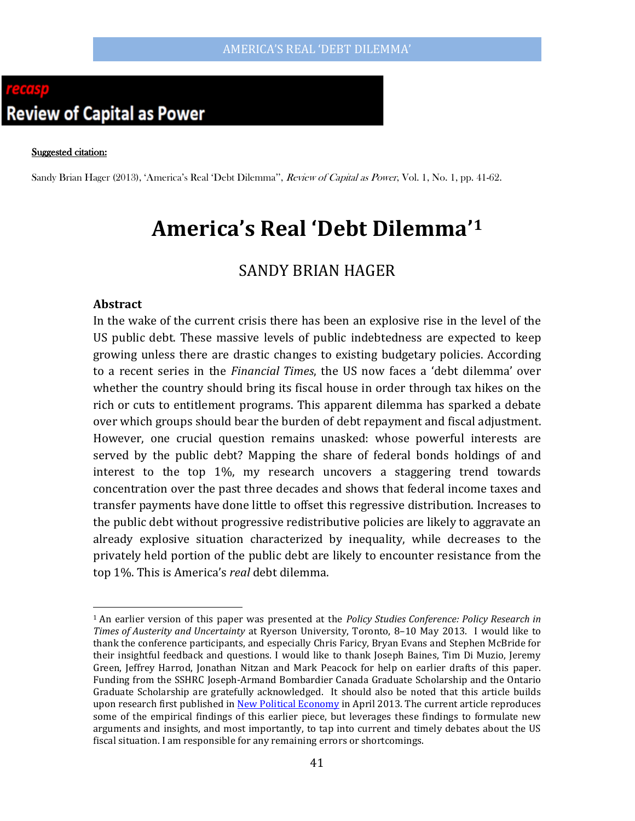# **Review of Capital as Power**

#### Suggested citation:

Sandy Brian Hager (2013), 'America's Real 'Debt Dilemma'', Review of Capital as Power, Vol. 1, No. 1, pp. 41-62.

# **America's Real 'Debt Dilemma'[1](#page-0-0)**

# SANDY BRIAN HAGER

#### **Abstract**

In the wake of the current crisis there has been an explosive rise in the level of the US public debt. These massive levels of public indebtedness are expected to keep growing unless there are drastic changes to existing budgetary policies. According to a recent series in the *Financial Times*, the US now faces a 'debt dilemma' over whether the country should bring its fiscal house in order through tax hikes on the rich or cuts to entitlement programs. This apparent dilemma has sparked a debate over which groups should bear the burden of debt repayment and fiscal adjustment. However, one crucial question remains unasked: whose powerful interests are served by the public debt? Mapping the share of federal bonds holdings of and interest to the top 1%, my research uncovers a staggering trend towards concentration over the past three decades and shows that federal income taxes and transfer payments have done little to offset this regressive distribution. Increases to the public debt without progressive redistributive policies are likely to aggravate an already explosive situation characterized by inequality, while decreases to the privately held portion of the public debt are likely to encounter resistance from the top 1%. This is America's *real* debt dilemma.

<span id="page-0-0"></span> <sup>1</sup> An earlier version of this paper was presented at the *Policy Studies Conference: Policy Research in Times of Austerity and Uncertainty* at Ryerson University, Toronto, 8–10 May 2013. I would like to thank the conference participants, and especially Chris Faricy, Bryan Evans and Stephen McBride for their insightful feedback and questions. I would like to thank Joseph Baines, Tim Di Muzio, Jeremy Green, Jeffrey Harrod, Jonathan Nitzan and Mark Peacock for help on earlier drafts of this paper. Funding from the SSHRC Joseph-Armand Bombardier Canada Graduate Scholarship and the Ontario Graduate Scholarship are gratefully acknowledged. It should also be noted that this article builds upon research first published in [New Political Economy](https://staffmail.uow.edu.au/owa/redir.aspx?C=bUzIW0F0bUarmQB-SCfDgHNxDWijZ9FIrb_mVaKOJdWKziyJcDks5Ao6HY8Q0Ik76d6HJIPpchE.&URL=http%3a%2f%2fwww.tandfonline.com%2fdoi%2ffull%2f10.1080%2f13563467.2013.768613%23.U6xdCo1dVTc) in April 2013. The current article reproduces some of the empirical findings of this earlier piece, but leverages these findings to formulate new arguments and insights, and most importantly, to tap into current and timely debates about the US fiscal situation. I am responsible for any remaining errors or shortcomings.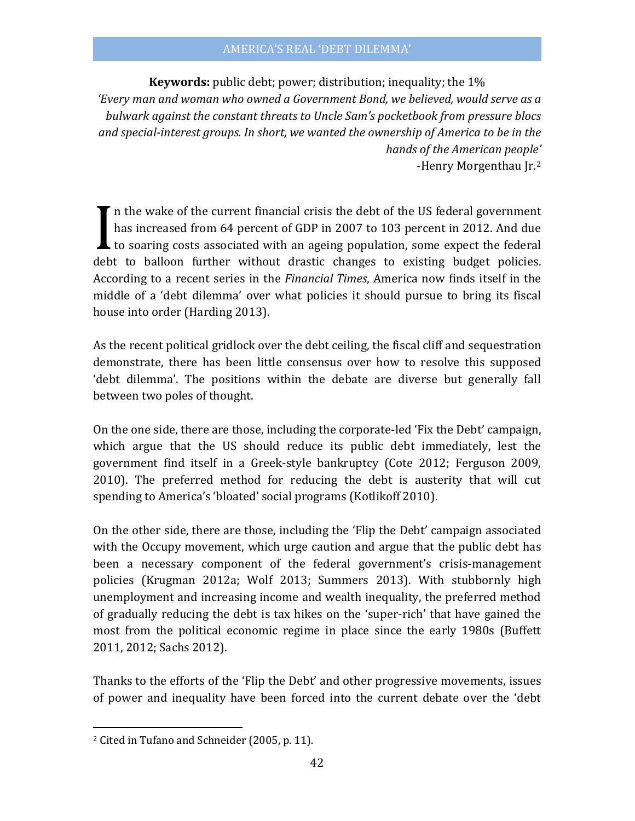**Keywords:** public debt; power; distribution; inequality; the 1% *'Every man and woman who owned a Government Bond, we believed, would serve as a bulwark against the constant threats to Uncle Sam's pocketbook from pressure blocs and special-interest groups. In short, we wanted the ownership of America to be in the hands of the American people'* -Henry Morgenthau Jr.[2](#page-1-0)

If n the wake of the current financial crisis the debt of the US federal government has increased from 64 percent of GDP in 2007 to 103 percent in 2012. And due  $\mathsf L$  to soaring costs associated with an ageing population, some expect the federal If the wake of the earrent inflantiar erisis the debt of the 05 federal government<br>has increased from 64 percent of GDP in 2007 to 103 percent in 2012. And due<br>to soaring costs associated with an ageing population, some ex According to a recent series in the *Financial Times*, America now finds itself in the middle of a 'debt dilemma' over what policies it should pursue to bring its fiscal house into order (Harding 2013).

As the recent political gridlock over the debt ceiling, the fiscal cliff and sequestration demonstrate, there has been little consensus over how to resolve this supposed 'debt dilemma'. The positions within the debate are diverse but generally fall between two poles of thought.

On the one side, there are those, including the corporate-led 'Fix the Debt' campaign, which argue that the US should reduce its public debt immediately, lest the government find itself in a Greek-style bankruptcy (Cote 2012; Ferguson 2009, 2010). The preferred method for reducing the debt is austerity that will cut spending to America's 'bloated' social programs (Kotlikoff 2010).

On the other side, there are those, including the 'Flip the Debt' campaign associated with the Occupy movement, which urge caution and argue that the public debt has been a necessary component of the federal government's crisis-management policies (Krugman 2012a; Wolf 2013; Summers 2013). With stubbornly high unemployment and increasing income and wealth inequality, the preferred method of gradually reducing the debt is tax hikes on the 'super-rich' that have gained the most from the political economic regime in place since the early 1980s (Buffett 2011, 2012; Sachs 2012).

Thanks to the efforts of the 'Flip the Debt' and other progressive movements, issues of power and inequality have been forced into the current debate over the 'debt

<span id="page-1-0"></span> <sup>2</sup> Cited in Tufano and Schneider (2005, p. 11).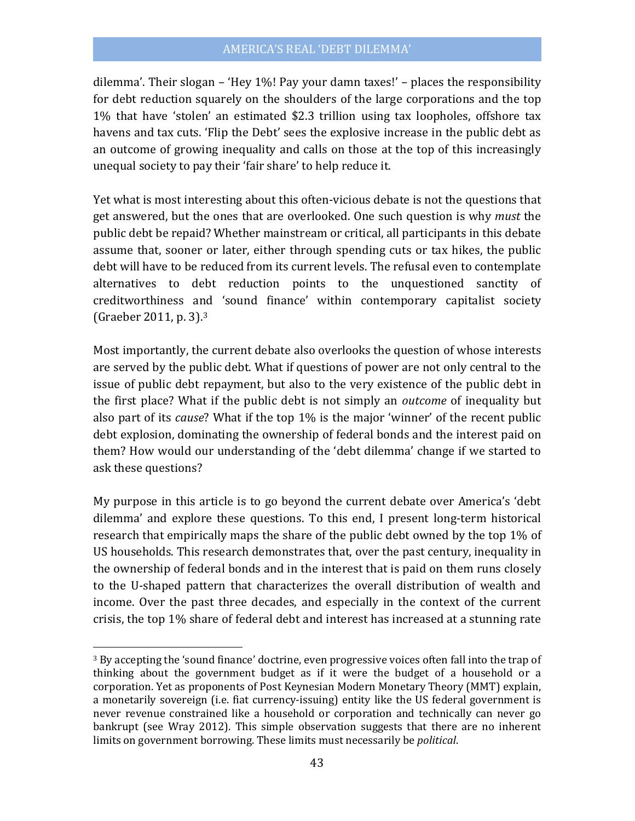dilemma'. Their slogan – 'Hey  $1\%$ ! Pay your damn taxes!' – places the responsibility for debt reduction squarely on the shoulders of the large corporations and the top 1% that have 'stolen' an estimated \$2.3 trillion using tax loopholes, offshore tax havens and tax cuts. 'Flip the Debt' sees the explosive increase in the public debt as an outcome of growing inequality and calls on those at the top of this increasingly unequal society to pay their 'fair share' to help reduce it.

Yet what is most interesting about this often-vicious debate is not the questions that get answered, but the ones that are overlooked. One such question is why *must* the public debt be repaid? Whether mainstream or critical, all participants in this debate assume that, sooner or later, either through spending cuts or tax hikes, the public debt will have to be reduced from its current levels. The refusal even to contemplate alternatives to debt reduction points to the unquestioned sanctity of creditworthiness and 'sound finance' within contemporary capitalist society (Graeber 2011, p. 3).[3](#page-2-0)

Most importantly, the current debate also overlooks the question of whose interests are served by the public debt. What if questions of power are not only central to the issue of public debt repayment, but also to the very existence of the public debt in the first place? What if the public debt is not simply an *outcome* of inequality but also part of its *cause*? What if the top 1% is the major 'winner' of the recent public debt explosion, dominating the ownership of federal bonds and the interest paid on them? How would our understanding of the 'debt dilemma' change if we started to ask these questions?

My purpose in this article is to go beyond the current debate over America's 'debt dilemma' and explore these questions. To this end, I present long-term historical research that empirically maps the share of the public debt owned by the top 1% of US households. This research demonstrates that, over the past century, inequality in the ownership of federal bonds and in the interest that is paid on them runs closely to the U-shaped pattern that characterizes the overall distribution of wealth and income. Over the past three decades, and especially in the context of the current crisis, the top 1% share of federal debt and interest has increased at a stunning rate

<span id="page-2-0"></span><sup>&</sup>lt;sup>3</sup> By accepting the 'sound finance' doctrine, even progressive voices often fall into the trap of thinking about the government budget as if it were the budget of a household or a corporation. Yet as proponents of Post Keynesian Modern Monetary Theory (MMT) explain, a monetarily sovereign (i.e. fiat currency-issuing) entity like the US federal government is never revenue constrained like a household or corporation and technically can never go bankrupt (see Wray 2012). This simple observation suggests that there are no inherent limits on government borrowing. These limits must necessarily be *political*.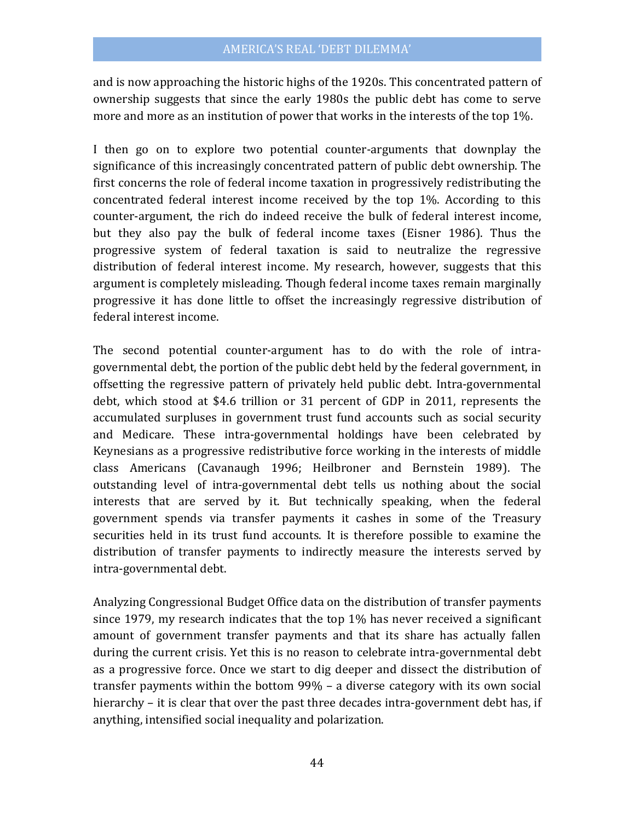and is now approaching the historic highs of the 1920s. This concentrated pattern of ownership suggests that since the early 1980s the public debt has come to serve more and more as an institution of power that works in the interests of the top 1%.

I then go on to explore two potential counter-arguments that downplay the significance of this increasingly concentrated pattern of public debt ownership. The first concerns the role of federal income taxation in progressively redistributing the concentrated federal interest income received by the top 1%. According to this counter-argument, the rich do indeed receive the bulk of federal interest income, but they also pay the bulk of federal income taxes (Eisner 1986). Thus the progressive system of federal taxation is said to neutralize the regressive distribution of federal interest income. My research, however, suggests that this argument is completely misleading. Though federal income taxes remain marginally progressive it has done little to offset the increasingly regressive distribution of federal interest income.

The second potential counter-argument has to do with the role of intragovernmental debt, the portion of the public debt held by the federal government, in offsetting the regressive pattern of privately held public debt. Intra-governmental debt, which stood at \$4.6 trillion or 31 percent of GDP in 2011, represents the accumulated surpluses in government trust fund accounts such as social security and Medicare. These intra-governmental holdings have been celebrated by Keynesians as a progressive redistributive force working in the interests of middle class Americans (Cavanaugh 1996; Heilbroner and Bernstein 1989). The outstanding level of intra-governmental debt tells us nothing about the social interests that are served by it. But technically speaking, when the federal government spends via transfer payments it cashes in some of the Treasury securities held in its trust fund accounts. It is therefore possible to examine the distribution of transfer payments to indirectly measure the interests served by intra-governmental debt.

Analyzing Congressional Budget Office data on the distribution of transfer payments since 1979, my research indicates that the top 1% has never received a significant amount of government transfer payments and that its share has actually fallen during the current crisis. Yet this is no reason to celebrate intra-governmental debt as a progressive force. Once we start to dig deeper and dissect the distribution of transfer payments within the bottom 99% – a diverse category with its own social hierarchy – it is clear that over the past three decades intra-government debt has, if anything, intensified social inequality and polarization.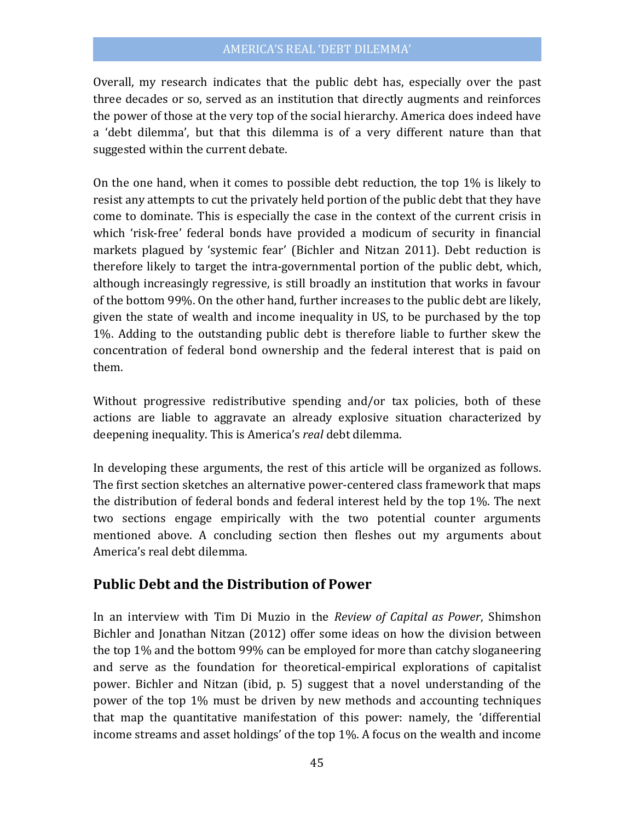Overall, my research indicates that the public debt has, especially over the past three decades or so, served as an institution that directly augments and reinforces the power of those at the very top of the social hierarchy. America does indeed have a 'debt dilemma', but that this dilemma is of a very different nature than that suggested within the current debate.

On the one hand, when it comes to possible debt reduction, the top 1% is likely to resist any attempts to cut the privately held portion of the public debt that they have come to dominate. This is especially the case in the context of the current crisis in which 'risk-free' federal bonds have provided a modicum of security in financial markets plagued by 'systemic fear' (Bichler and Nitzan 2011). Debt reduction is therefore likely to target the intra-governmental portion of the public debt, which, although increasingly regressive, is still broadly an institution that works in favour of the bottom 99%. On the other hand, further increases to the public debt are likely, given the state of wealth and income inequality in US, to be purchased by the top 1%. Adding to the outstanding public debt is therefore liable to further skew the concentration of federal bond ownership and the federal interest that is paid on them.

Without progressive redistributive spending and/or tax policies, both of these actions are liable to aggravate an already explosive situation characterized by deepening inequality. This is America's *real* debt dilemma.

In developing these arguments, the rest of this article will be organized as follows. The first section sketches an alternative power-centered class framework that maps the distribution of federal bonds and federal interest held by the top 1%. The next two sections engage empirically with the two potential counter arguments mentioned above. A concluding section then fleshes out my arguments about America's real debt dilemma.

## **Public Debt and the Distribution of Power**

In an interview with Tim Di Muzio in the *Review of Capital as Power*, Shimshon Bichler and Jonathan Nitzan (2012) offer some ideas on how the division between the top 1% and the bottom 99% can be employed for more than catchy sloganeering and serve as the foundation for theoretical-empirical explorations of capitalist power. Bichler and Nitzan (ibid, p. 5) suggest that a novel understanding of the power of the top 1% must be driven by new methods and accounting techniques that map the quantitative manifestation of this power: namely, the 'differential income streams and asset holdings' of the top 1%. A focus on the wealth and income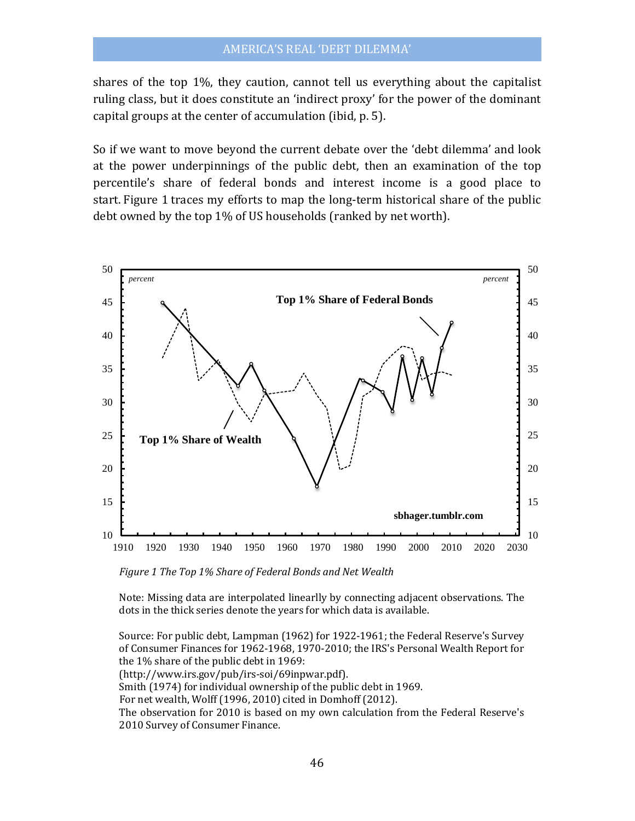shares of the top 1%, they caution, cannot tell us everything about the capitalist ruling class, but it does constitute an 'indirect proxy' for the power of the dominant capital groups at the center of accumulation (ibid, p. 5).

So if we want to move beyond the current debate over the 'debt dilemma' and look at the power underpinnings of the public debt, then an examination of the top percentile's share of federal bonds and interest income is a good place to start. Figure 1 traces my efforts to map the long-term historical share of the public debt owned by the top 1% of US households (ranked by net worth).



*Figure 1 The Top 1% Share of Federal Bonds and Net Wealth*

Note: Missing data are interpolated linearlly by connecting adjacent observations. The dots in the thick series denote the years for which data is available.

Source: For public debt, Lampman (1962) for 1922-1961; the Federal Reserve's Survey of Consumer Finances for 1962-1968, 1970-2010; the IRS's Personal Wealth Report for the 1% share of the public debt in 1969:

(http://www.irs.gov/pub/irs-soi/69inpwar.pdf).

Smith (1974) for individual ownership of the public debt in 1969.

For net wealth, Wolff (1996, 2010) cited in Domhoff(2012).

The observation for 2010 is based on my own calculation from the Federal Reserve's 2010 Survey of Consumer Finance.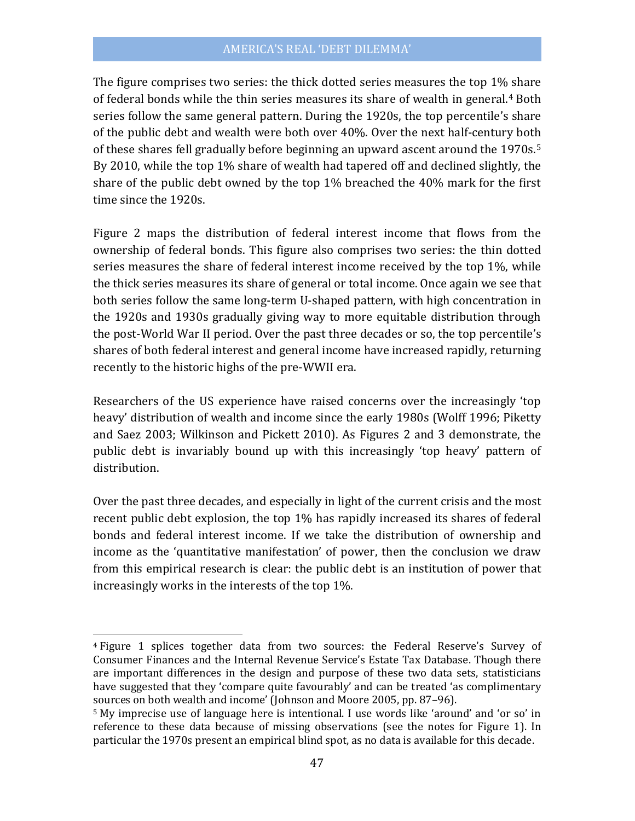The figure comprises two series: the thick dotted series measures the top 1% share of federal bonds while the thin series measures its share of wealth in general.[4](#page-6-0) Both series follow the same general pattern. During the 1920s, the top percentile's share of the public debt and wealth were both over 40%. Over the next half-century both of these shares fell gradually before beginning an upward ascent around the 1970s.[5](#page-6-1) By 2010, while the top 1% share of wealth had tapered off and declined slightly, the share of the public debt owned by the top 1% breached the 40% mark for the first time since the 1920s.

Figure 2 maps the distribution of federal interest income that flows from the ownership of federal bonds. This figure also comprises two series: the thin dotted series measures the share of federal interest income received by the top 1%, while the thick series measures its share of general or total income. Once again we see that both series follow the same long-term U-shaped pattern, with high concentration in the 1920s and 1930s gradually giving way to more equitable distribution through the post-World War II period. Over the past three decades or so, the top percentile's shares of both federal interest and general income have increased rapidly, returning recently to the historic highs of the pre-WWII era.

Researchers of the US experience have raised concerns over the increasingly 'top heavy' distribution of wealth and income since the early 1980s (Wolff 1996; Piketty and Saez 2003; Wilkinson and Pickett 2010). As Figures 2 and 3 demonstrate, the public debt is invariably bound up with this increasingly 'top heavy' pattern of distribution.

Over the past three decades, and especially in light of the current crisis and the most recent public debt explosion, the top 1% has rapidly increased its shares of federal bonds and federal interest income. If we take the distribution of ownership and income as the 'quantitative manifestation' of power, then the conclusion we draw from this empirical research is clear: the public debt is an institution of power that increasingly works in the interests of the top 1%.

<span id="page-6-0"></span> <sup>4</sup> Figure 1 splices together data from two sources: the Federal Reserve's Survey of Consumer Finances and the Internal Revenue Service's Estate Tax Database. Though there are important differences in the design and purpose of these two data sets, statisticians have suggested that they 'compare quite favourably' and can be treated 'as complimentary sources on both wealth and income' (Johnson and Moore 2005, pp. 87–96).

<span id="page-6-1"></span><sup>5</sup> My imprecise use of language here is intentional. I use words like 'around' and 'or so' in reference to these data because of missing observations (see the notes for Figure 1). In particular the 1970s present an empirical blind spot, as no data is available for this decade.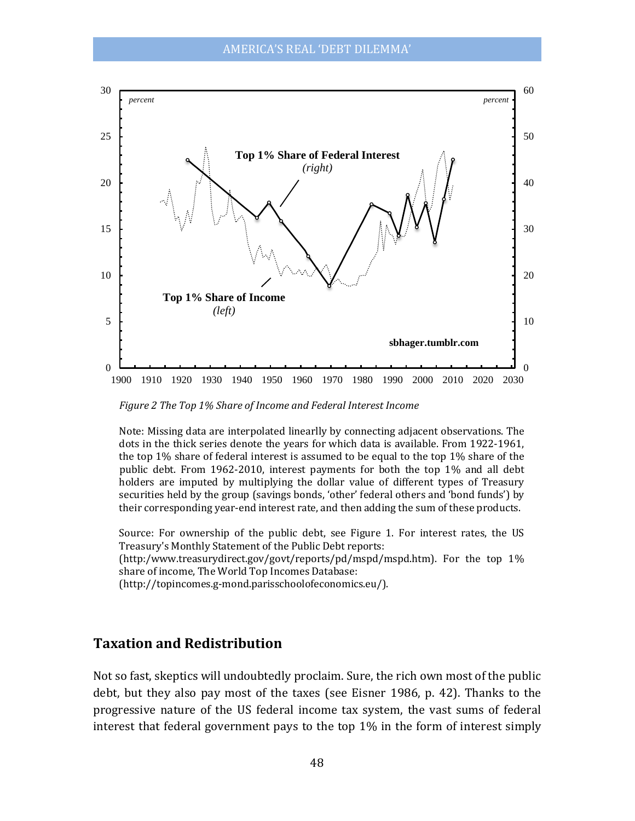

*Figure 2 The Top 1% Share of Income and Federal Interest Income*

Note: Missing data are interpolated linearlly by connecting adjacent observations. The dots in the thick series denote the years for which data is available. From 1922-1961, the top 1% share of federal interest is assumed to be equal to the top 1% share of the public debt. From 1962-2010, interest payments for both the top 1% and all debt holders are imputed by multiplying the dollar value of different types of Treasury securities held by the group (savings bonds, 'other' federal others and 'bond funds') by their corresponding year-end interest rate, and then adding the sum of these products.

Source: For ownership of the public debt, see Figure 1. For interest rates, the US Treasury's Monthly Statement of the Public Debt reports:

(http:/www.treasurydirect.gov/govt/reports/pd/mspd/mspd.htm). For the top 1% share of income, The World Top Incomes Database:

(http://topincomes.g-mond.parisschoolofeconomics.eu/).

#### **Taxation and Redistribution**

Not so fast, skeptics will undoubtedly proclaim. Sure, the rich own most of the public debt, but they also pay most of the taxes (see Eisner 1986, p. 42). Thanks to the progressive nature of the US federal income tax system, the vast sums of federal interest that federal government pays to the top 1% in the form of interest simply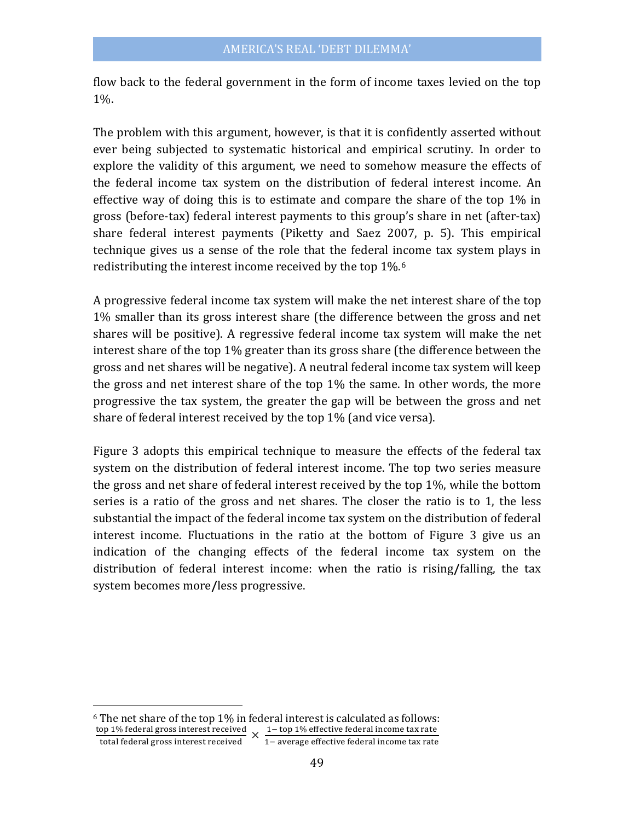flow back to the federal government in the form of income taxes levied on the top 1%.

The problem with this argument, however, is that it is confidently asserted without ever being subjected to systematic historical and empirical scrutiny. In order to explore the validity of this argument, we need to somehow measure the effects of the federal income tax system on the distribution of federal interest income. An effective way of doing this is to estimate and compare the share of the top 1% in gross (before-tax) federal interest payments to this group's share in net (after-tax) share federal interest payments (Piketty and Saez 2007, p. 5). This empirical technique gives us a sense of the role that the federal income tax system plays in redistributing the interest income received by the top 1%.[6](#page-8-0)

A progressive federal income tax system will make the net interest share of the top 1% smaller than its gross interest share (the difference between the gross and net shares will be positive). A regressive federal income tax system will make the net interest share of the top 1% greater than its gross share (the difference between the gross and net shares will be negative). A neutral federal income tax system will keep the gross and net interest share of the top 1% the same. In other words, the more progressive the tax system, the greater the gap will be between the gross and net share of federal interest received by the top 1% (and vice versa).

Figure 3 adopts this empirical technique to measure the effects of the federal tax system on the distribution of federal interest income. The top two series measure the gross and net share of federal interest received by the top 1%, while the bottom series is a ratio of the gross and net shares. The closer the ratio is to 1, the less substantial the impact of the federal income tax system on the distribution of federal interest income. Fluctuations in the ratio at the bottom of Figure 3 give us an indication of the changing effects of the federal income tax system on the distribution of federal interest income: when the ratio is rising**/**falling, the tax system becomes more**/**less progressive.

<span id="page-8-0"></span> <sup>6</sup> The net share of the top 1% in federal interest is calculated as follows: top 1% federal gross interest received  $\frac{1 - \text{top 1\%}}{2}$  effective federal income tax rate

total federal gross interest received 1− average effective federal income tax rate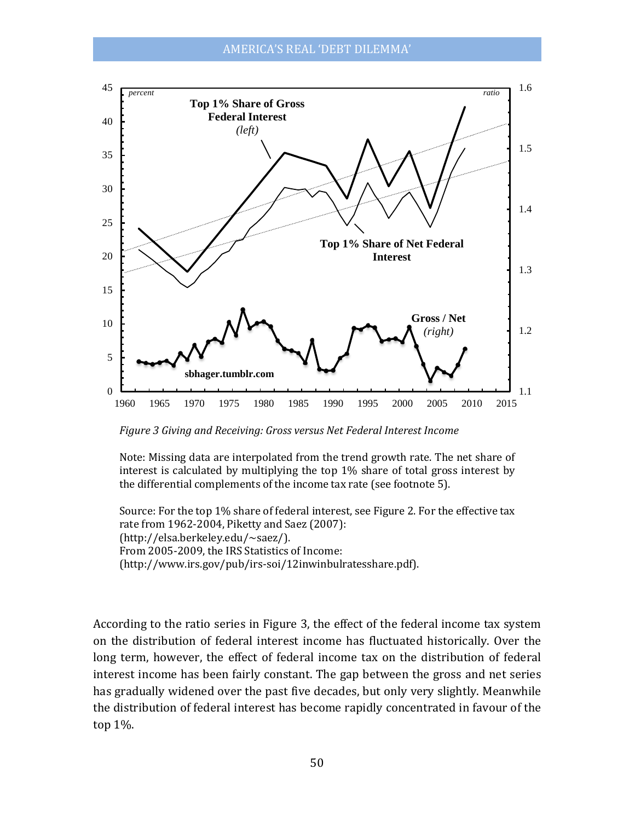

*Figure 3 Giving and Receiving: Gross versus Net Federal Interest Income*

Note: Missing data are interpolated from the trend growth rate. The net share of interest is calculated by multiplying the top 1% share of total gross interest by the differential complements of the income tax rate (see footnote 5).

Source: For the top 1% share of federal interest, see Figure 2. For the effective tax rate from 1962-2004, Piketty and Saez (2007): (http://elsa.berkeley.edu/~saez/). From 2005-2009, the IRS Statistics of Income: (http://www.irs.gov/pub/irs-soi/12inwinbulratesshare.pdf).

According to the ratio series in Figure 3, the effect of the federal income tax system on the distribution of federal interest income has fluctuated historically. Over the long term, however, the effect of federal income tax on the distribution of federal interest income has been fairly constant. The gap between the gross and net series has gradually widened over the past five decades, but only very slightly. Meanwhile the distribution of federal interest has become rapidly concentrated in favour of the top 1%.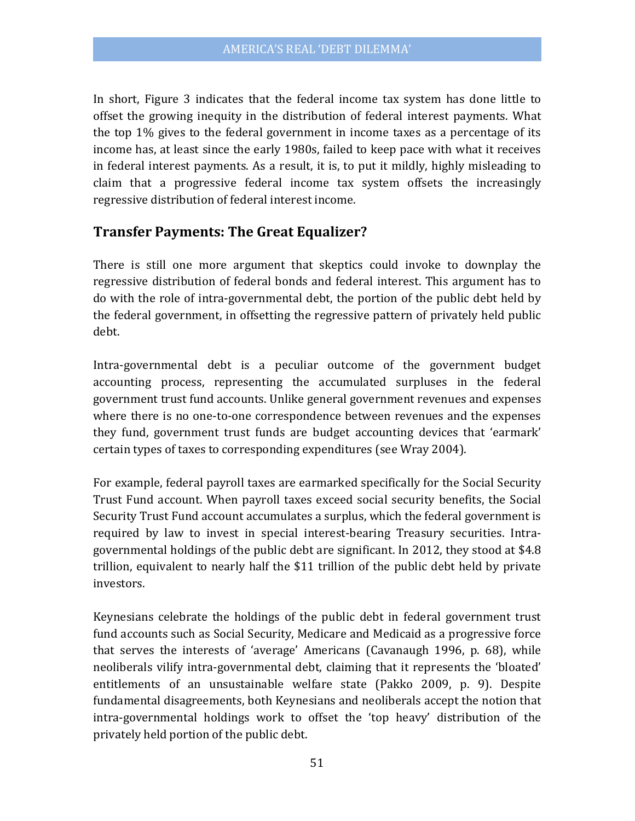In short, Figure 3 indicates that the federal income tax system has done little to offset the growing inequity in the distribution of federal interest payments. What the top 1% gives to the federal government in income taxes as a percentage of its income has, at least since the early 1980s, failed to keep pace with what it receives in federal interest payments. As a result, it is, to put it mildly, highly misleading to claim that a progressive federal income tax system offsets the increasingly regressive distribution of federal interest income.

## **Transfer Payments: The Great Equalizer?**

There is still one more argument that skeptics could invoke to downplay the regressive distribution of federal bonds and federal interest. This argument has to do with the role of intra-governmental debt, the portion of the public debt held by the federal government, in offsetting the regressive pattern of privately held public debt.

Intra-governmental debt is a peculiar outcome of the government budget accounting process, representing the accumulated surpluses in the federal government trust fund accounts. Unlike general government revenues and expenses where there is no one-to-one correspondence between revenues and the expenses they fund, government trust funds are budget accounting devices that 'earmark' certain types of taxes to corresponding expenditures (see Wray 2004).

For example, federal payroll taxes are earmarked specifically for the Social Security Trust Fund account. When payroll taxes exceed social security benefits, the Social Security Trust Fund account accumulates a surplus, which the federal government is required by law to invest in special interest-bearing Treasury securities. Intragovernmental holdings of the public debt are significant. In 2012, they stood at \$4.8 trillion, equivalent to nearly half the \$11 trillion of the public debt held by private investors.

Keynesians celebrate the holdings of the public debt in federal government trust fund accounts such as Social Security, Medicare and Medicaid as a progressive force that serves the interests of 'average' Americans (Cavanaugh 1996, p. 68), while neoliberals vilify intra-governmental debt, claiming that it represents the 'bloated' entitlements of an unsustainable welfare state (Pakko 2009, p. 9). Despite fundamental disagreements, both Keynesians and neoliberals accept the notion that intra-governmental holdings work to offset the 'top heavy' distribution of the privately held portion of the public debt.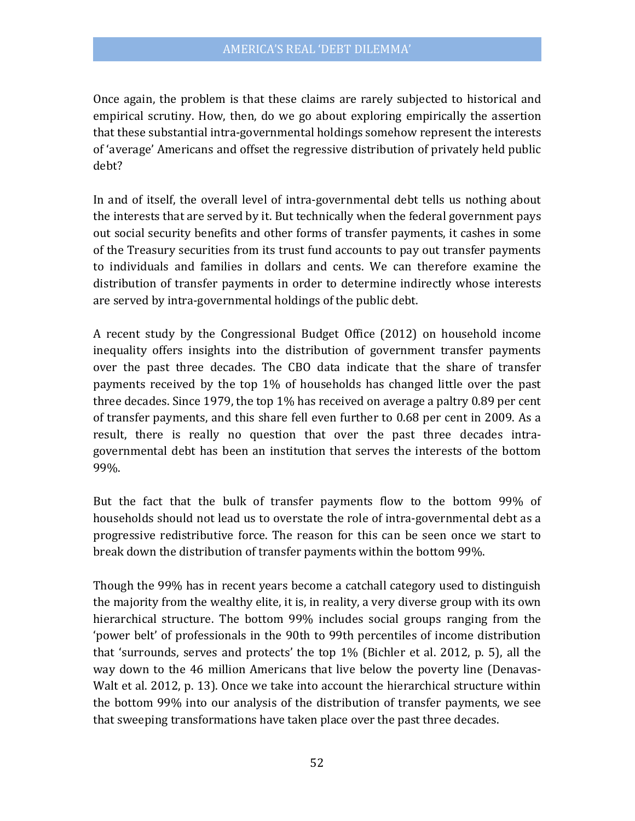Once again, the problem is that these claims are rarely subjected to historical and empirical scrutiny. How, then, do we go about exploring empirically the assertion that these substantial intra-governmental holdings somehow represent the interests of 'average' Americans and offset the regressive distribution of privately held public debt?

In and of itself, the overall level of intra-governmental debt tells us nothing about the interests that are served by it. But technically when the federal government pays out social security benefits and other forms of transfer payments, it cashes in some of the Treasury securities from its trust fund accounts to pay out transfer payments to individuals and families in dollars and cents. We can therefore examine the distribution of transfer payments in order to determine indirectly whose interests are served by intra-governmental holdings of the public debt.

A recent study by the Congressional Budget Office (2012) on household income inequality offers insights into the distribution of government transfer payments over the past three decades. The CBO data indicate that the share of transfer payments received by the top 1% of households has changed little over the past three decades. Since 1979, the top 1% has received on average a paltry 0.89 per cent of transfer payments, and this share fell even further to 0.68 per cent in 2009. As a result, there is really no question that over the past three decades intragovernmental debt has been an institution that serves the interests of the bottom 99%.

But the fact that the bulk of transfer payments flow to the bottom 99% of households should not lead us to overstate the role of intra-governmental debt as a progressive redistributive force. The reason for this can be seen once we start to break down the distribution of transfer payments within the bottom 99%.

Though the 99% has in recent years become a catchall category used to distinguish the majority from the wealthy elite, it is, in reality, a very diverse group with its own hierarchical structure. The bottom 99% includes social groups ranging from the 'power belt' of professionals in the 90th to 99th percentiles of income distribution that 'surrounds, serves and protects' the top 1% (Bichler et al. 2012, p. 5), all the way down to the 46 million Americans that live below the poverty line (Denavas-Walt et al. 2012, p. 13). Once we take into account the hierarchical structure within the bottom 99% into our analysis of the distribution of transfer payments, we see that sweeping transformations have taken place over the past three decades.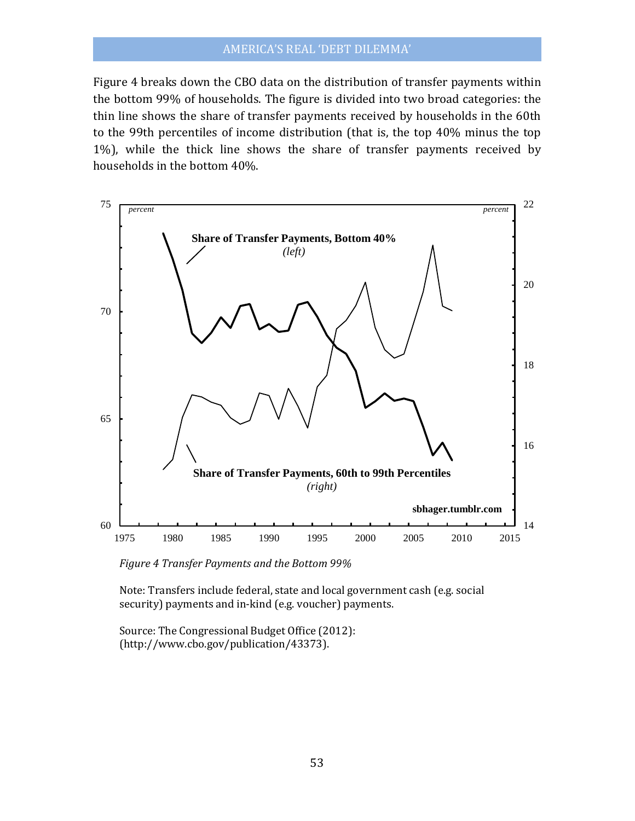Figure 4 breaks down the CBO data on the distribution of transfer payments within the bottom 99% of households. The figure is divided into two broad categories: the thin line shows the share of transfer payments received by households in the 60th to the 99th percentiles of income distribution (that is, the top 40% minus the top 1%), while the thick line shows the share of transfer payments received by households in the bottom 40%.



*Figure 4 Transfer Payments and the Bottom 99%*

Note: Transfers include federal, state and local government cash (e.g. social security) payments and in-kind (e.g. voucher) payments.

Source: The Congressional Budget Office (2012): (http://www.cbo.gov/publication/43373).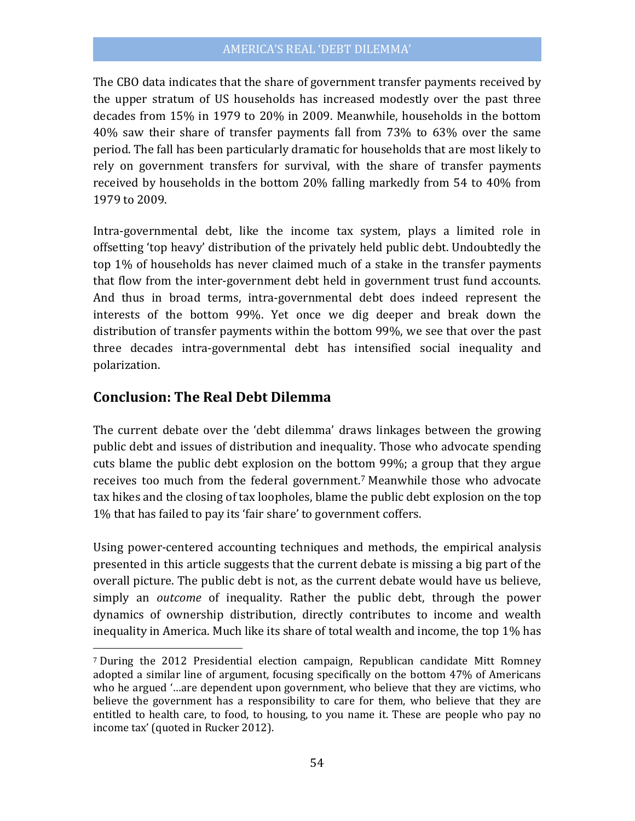The CBO data indicates that the share of government transfer payments received by the upper stratum of US households has increased modestly over the past three decades from 15% in 1979 to 20% in 2009. Meanwhile, households in the bottom 40% saw their share of transfer payments fall from 73% to 63% over the same period. The fall has been particularly dramatic for households that are most likely to rely on government transfers for survival, with the share of transfer payments received by households in the bottom 20% falling markedly from 54 to 40% from 1979 to 2009.

Intra-governmental debt, like the income tax system, plays a limited role in offsetting 'top heavy' distribution of the privately held public debt. Undoubtedly the top 1% of households has never claimed much of a stake in the transfer payments that flow from the inter-government debt held in government trust fund accounts. And thus in broad terms, intra-governmental debt does indeed represent the interests of the bottom 99%. Yet once we dig deeper and break down the distribution of transfer payments within the bottom 99%, we see that over the past three decades intra-governmental debt has intensified social inequality and polarization.

#### **Conclusion: The Real Debt Dilemma**

The current debate over the 'debt dilemma' draws linkages between the growing public debt and issues of distribution and inequality. Those who advocate spending cuts blame the public debt explosion on the bottom 99%; a group that they argue receives too much from the federal government.[7](#page-13-0) Meanwhile those who advocate tax hikes and the closing of tax loopholes, blame the public debt explosion on the top 1% that has failed to pay its 'fair share' to government coffers.

Using power-centered accounting techniques and methods, the empirical analysis presented in this article suggests that the current debate is missing a big part of the overall picture. The public debt is not, as the current debate would have us believe, simply an *outcome* of inequality. Rather the public debt, through the power dynamics of ownership distribution, directly contributes to income and wealth inequality in America. Much like its share of total wealth and income, the top 1% has

<span id="page-13-0"></span> <sup>7</sup> During the 2012 Presidential election campaign, Republican candidate Mitt Romney adopted a similar line of argument, focusing specifically on the bottom 47% of Americans who he argued '…are dependent upon government, who believe that they are victims, who believe the government has a responsibility to care for them, who believe that they are entitled to health care, to food, to housing, to you name it. These are people who pay no income tax' (quoted in Rucker 2012).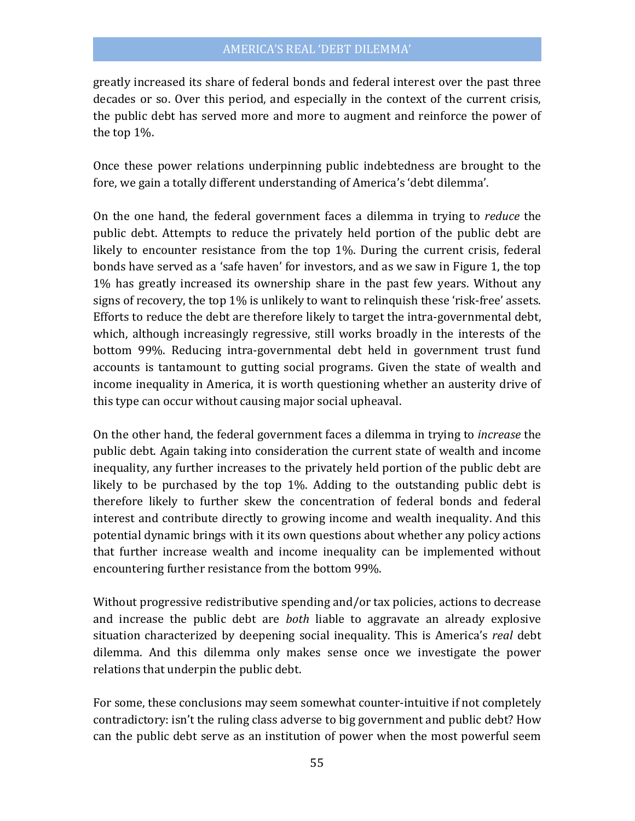greatly increased its share of federal bonds and federal interest over the past three decades or so. Over this period, and especially in the context of the current crisis, the public debt has served more and more to augment and reinforce the power of the top 1%.

Once these power relations underpinning public indebtedness are brought to the fore, we gain a totally different understanding of America's 'debt dilemma'.

On the one hand, the federal government faces a dilemma in trying to *reduce* the public debt. Attempts to reduce the privately held portion of the public debt are likely to encounter resistance from the top 1%. During the current crisis, federal bonds have served as a 'safe haven' for investors, and as we saw in Figure 1, the top 1% has greatly increased its ownership share in the past few years. Without any signs of recovery, the top 1% is unlikely to want to relinquish these 'risk-free' assets. Efforts to reduce the debt are therefore likely to target the intra-governmental debt, which, although increasingly regressive, still works broadly in the interests of the bottom 99%. Reducing intra-governmental debt held in government trust fund accounts is tantamount to gutting social programs. Given the state of wealth and income inequality in America, it is worth questioning whether an austerity drive of this type can occur without causing major social upheaval.

On the other hand, the federal government faces a dilemma in trying to *increase* the public debt. Again taking into consideration the current state of wealth and income inequality, any further increases to the privately held portion of the public debt are likely to be purchased by the top 1%. Adding to the outstanding public debt is therefore likely to further skew the concentration of federal bonds and federal interest and contribute directly to growing income and wealth inequality. And this potential dynamic brings with it its own questions about whether any policy actions that further increase wealth and income inequality can be implemented without encountering further resistance from the bottom 99%.

Without progressive redistributive spending and/or tax policies, actions to decrease and increase the public debt are *both* liable to aggravate an already explosive situation characterized by deepening social inequality. This is America's *real* debt dilemma. And this dilemma only makes sense once we investigate the power relations that underpin the public debt.

For some, these conclusions may seem somewhat counter-intuitive if not completely contradictory: isn't the ruling class adverse to big government and public debt? How can the public debt serve as an institution of power when the most powerful seem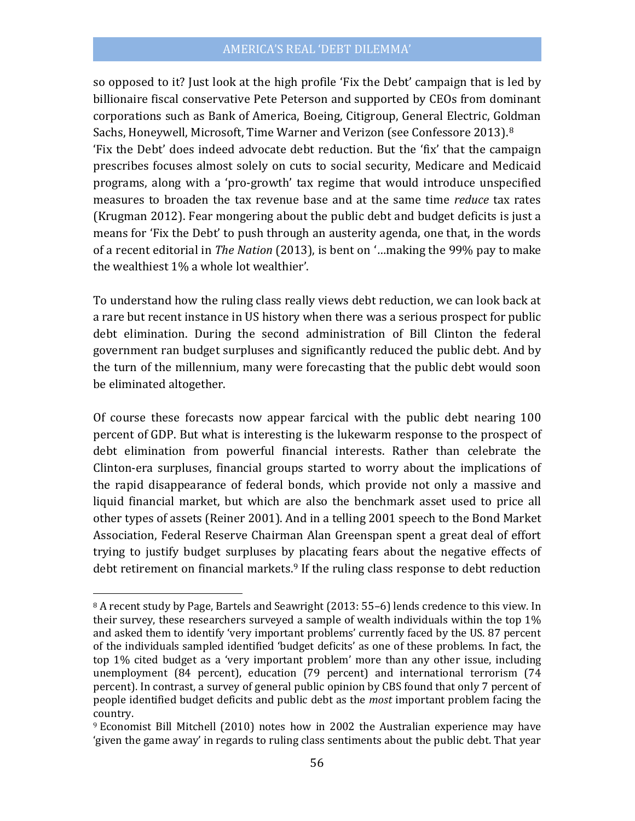so opposed to it? Just look at the high profile 'Fix the Debt' campaign that is led by billionaire fiscal conservative Pete Peterson and supported by CEOs from dominant corporations such as Bank of America, Boeing, Citigroup, General Electric, Goldman Sachs, Honeywell, Microsoft, Time Warner and Verizon (see Confessore 2013).[8](#page-15-0) 'Fix the Debt' does indeed advocate debt reduction. But the 'fix' that the campaign prescribes focuses almost solely on cuts to social security, Medicare and Medicaid programs, along with a 'pro-growth' tax regime that would introduce unspecified measures to broaden the tax revenue base and at the same time *reduce* tax rates (Krugman 2012). Fear mongering about the public debt and budget deficits is just a means for 'Fix the Debt' to push through an austerity agenda, one that, in the words of a recent editorial in *The Nation* (2013), is bent on '…making the 99% pay to make the wealthiest 1% a whole lot wealthier'.

To understand how the ruling class really views debt reduction, we can look back at a rare but recent instance in US history when there was a serious prospect for public debt elimination. During the second administration of Bill Clinton the federal government ran budget surpluses and significantly reduced the public debt. And by the turn of the millennium, many were forecasting that the public debt would soon be eliminated altogether.

Of course these forecasts now appear farcical with the public debt nearing 100 percent of GDP. But what is interesting is the lukewarm response to the prospect of debt elimination from powerful financial interests. Rather than celebrate the Clinton-era surpluses, financial groups started to worry about the implications of the rapid disappearance of federal bonds, which provide not only a massive and liquid financial market, but which are also the benchmark asset used to price all other types of assets (Reiner 2001). And in a telling 2001 speech to the Bond Market Association, Federal Reserve Chairman Alan Greenspan spent a great deal of effort trying to justify budget surpluses by placating fears about the negative effects of debt retirement on financial markets.<sup>[9](#page-15-1)</sup> If the ruling class response to debt reduction

<span id="page-15-0"></span> <sup>8</sup> A recent study by Page, Bartels and Seawright (2013: 55–6) lends credence to this view. In their survey, these researchers surveyed a sample of wealth individuals within the top 1% and asked them to identify 'very important problems' currently faced by the US. 87 percent of the individuals sampled identified 'budget deficits' as one of these problems. In fact, the top 1% cited budget as a 'very important problem' more than any other issue, including unemployment (84 percent), education (79 percent) and international terrorism (74 percent). In contrast, a survey of general public opinion by CBS found that only 7 percent of people identified budget deficits and public debt as the *most* important problem facing the country.

<span id="page-15-1"></span><sup>9</sup> Economist Bill Mitchell (2010) notes how in 2002 the Australian experience may have 'given the game away' in regards to ruling class sentiments about the public debt. That year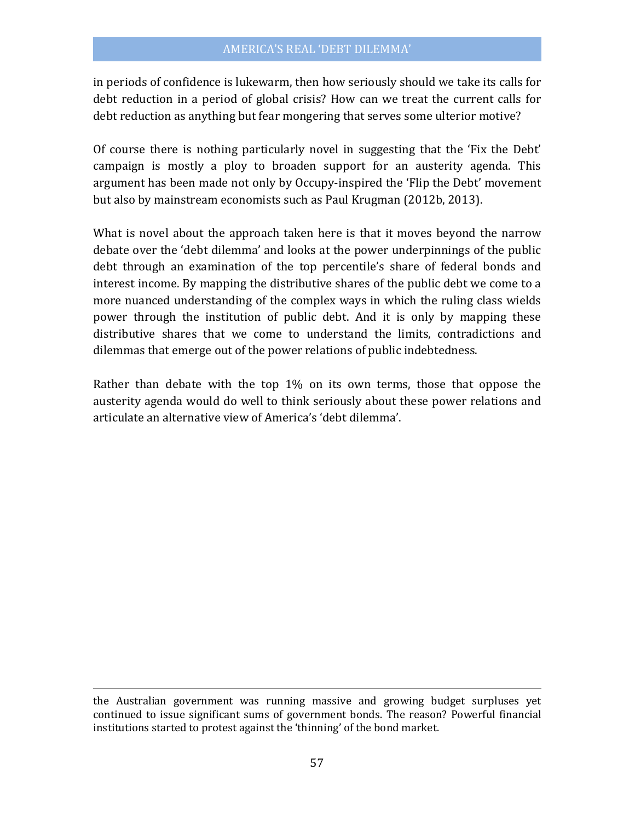in periods of confidence is lukewarm, then how seriously should we take its calls for debt reduction in a period of global crisis? How can we treat the current calls for debt reduction as anything but fear mongering that serves some ulterior motive?

Of course there is nothing particularly novel in suggesting that the 'Fix the Debt' campaign is mostly a ploy to broaden support for an austerity agenda. This argument has been made not only by Occupy-inspired the 'Flip the Debt' movement but also by mainstream economists such as Paul Krugman (2012b, 2013).

What is novel about the approach taken here is that it moves beyond the narrow debate over the 'debt dilemma' and looks at the power underpinnings of the public debt through an examination of the top percentile's share of federal bonds and interest income. By mapping the distributive shares of the public debt we come to a more nuanced understanding of the complex ways in which the ruling class wields power through the institution of public debt. And it is only by mapping these distributive shares that we come to understand the limits, contradictions and dilemmas that emerge out of the power relations of public indebtedness.

Rather than debate with the top 1% on its own terms, those that oppose the austerity agenda would do well to think seriously about these power relations and articulate an alternative view of America's 'debt dilemma'.

i<br>I the Australian government was running massive and growing budget surpluses yet continued to issue significant sums of government bonds. The reason? Powerful financial institutions started to protest against the 'thinning' of the bond market.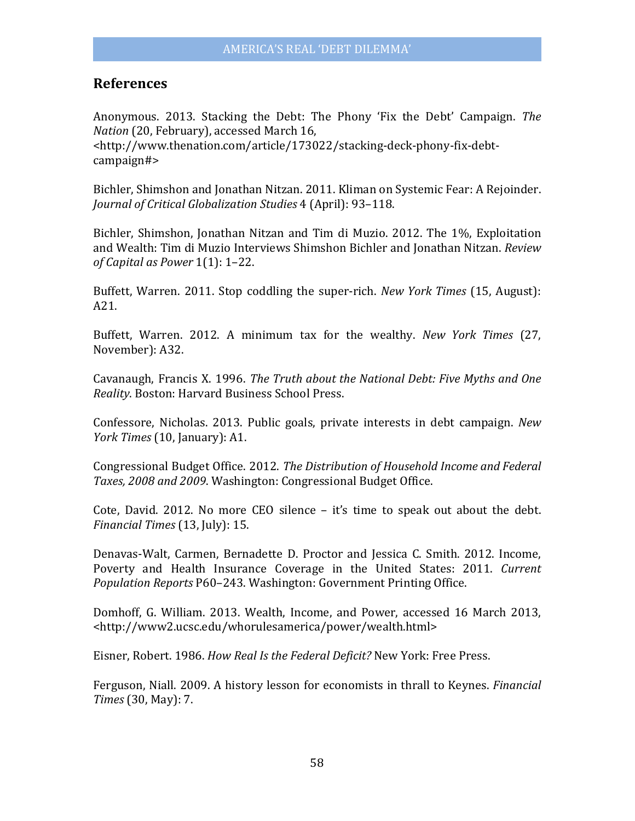#### **References**

Anonymous. 2013. Stacking the Debt: The Phony 'Fix the Debt' Campaign. *The Nation* (20, February), accessed March 16, <http://www.thenation.com/article/173022/stacking-deck-phony-fix-debtcampaign#>

Bichler, Shimshon and Jonathan Nitzan. 2011. Kliman on Systemic Fear: A Rejoinder. *Journal of Critical Globalization Studies* 4 (April): 93–118.

Bichler, Shimshon, Jonathan Nitzan and Tim di Muzio. 2012. The 1%, Exploitation and Wealth: Tim di Muzio Interviews Shimshon Bichler and Jonathan Nitzan. *Review of Capital as Power* 1(1): 1–22.

Buffett, Warren. 2011. Stop coddling the super-rich. *New York Times* (15, August): A21.

Buffett, Warren. 2012. A minimum tax for the wealthy. *New York Times* (27, November): A32.

Cavanaugh, Francis X. 1996. *The Truth about the National Debt: Five Myths and One Reality*. Boston: Harvard Business School Press.

Confessore, Nicholas. 2013. Public goals, private interests in debt campaign. *New York Times* (10, January): A1.

Congressional Budget Office. 2012. *The Distribution of Household Income and Federal Taxes, 2008 and 2009*. Washington: Congressional Budget Office.

Cote, David. 2012. No more CEO silence – it's time to speak out about the debt. *Financial Times* (13, July): 15.

Denavas-Walt, Carmen, Bernadette D. Proctor and Jessica C. Smith. 2012. Income, Poverty and Health Insurance Coverage in the United States: 2011. *Current Population Reports* P60–243. Washington: Government Printing Office.

Domhoff, G. William. 2013. Wealth, Income, and Power, accessed 16 March 2013, <http://www2.ucsc.edu/whorulesamerica/power/wealth.html>

Eisner, Robert. 1986. *How Real Is the Federal Deficit?* New York: Free Press.

Ferguson, Niall. 2009. A history lesson for economists in thrall to Keynes. *Financial Times* (30, May): 7.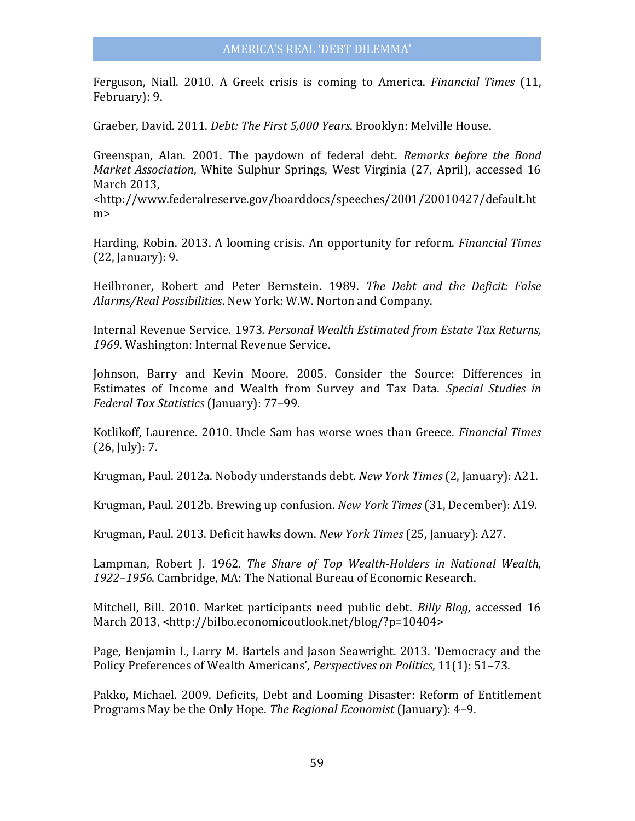Ferguson, Niall. 2010. A Greek crisis is coming to America. *Financial Times* (11, February): 9.

Graeber, David. 2011. *Debt: The First 5,000 Years*. Brooklyn: Melville House.

Greenspan, Alan. 2001. The paydown of federal debt. *Remarks before the Bond Market Association*, White Sulphur Springs, West Virginia (27, April), accessed 16 March 2013,

<http://www.federalreserve.gov/boarddocs/speeches/2001/20010427/default.ht m>

Harding, Robin. 2013. A looming crisis. An opportunity for reform. *Financial Times* (22, January): 9.

Heilbroner, Robert and Peter Bernstein. 1989. *The Debt and the Deficit: False Alarms/Real Possibilities*. New York: W.W. Norton and Company.

Internal Revenue Service. 1973*. Personal Wealth Estimated from Estate Tax Returns, 1969*. Washington: Internal Revenue Service.

Johnson, Barry and Kevin Moore. 2005. Consider the Source: Differences in Estimates of Income and Wealth from Survey and Tax Data. *Special Studies in Federal Tax Statistics* (January): 77–99.

Kotlikoff, Laurence. 2010. Uncle Sam has worse woes than Greece. *Financial Times* (26, July): 7.

Krugman, Paul. 2012a. Nobody understands debt. *New York Times* (2, January): A21.

Krugman, Paul. 2012b. Brewing up confusion. *New York Times* (31, December): A19.

Krugman, Paul. 2013. Deficit hawks down. *New York Times* (25, January): A27.

Lampman, Robert J. 1962*. The Share of Top Wealth-Holders in National Wealth, 1922–1956*. Cambridge, MA: The National Bureau of Economic Research.

Mitchell, Bill. 2010. Market participants need public debt. *Billy Blog*, accessed 16 March 2013, <http://bilbo.economicoutlook.net/blog/?p=10404>

Page, Benjamin I., Larry M. Bartels and Jason Seawright. 2013. 'Democracy and the Policy Preferences of Wealth Americans', *Perspectives on Politics*, 11(1): 51–73.

Pakko, Michael. 2009. Deficits, Debt and Looming Disaster: Reform of Entitlement Programs May be the Only Hope. *The Regional Economist* (January): 4–9.